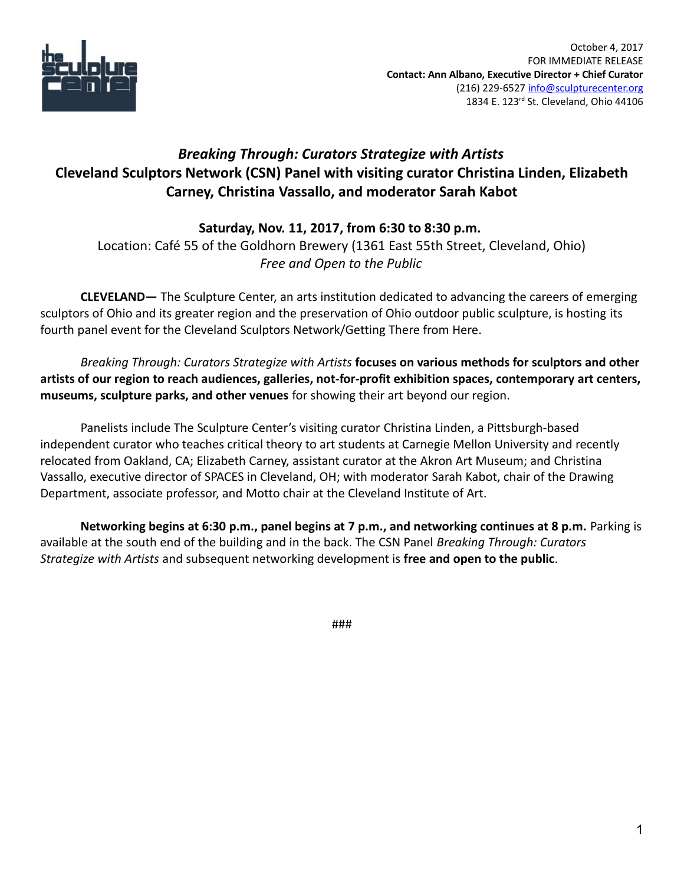

## *Breaking Through: Curators Strategize with Artists* **Cleveland Sculptors Network (CSN) Panel with visiting curator Christina Linden, Elizabeth Carney, Christina Vassallo, and moderator Sarah Kabot**

## **Saturday, Nov. 11, 2017, from 6:30 to 8:30 p.m.**

Location: Café 55 of the Goldhorn Brewery (1361 East 55th Street, Cleveland, Ohio) *Free and Open to the Public*

**CLEVELAND—** The Sculpture Center, an arts institution dedicated to advancing the careers of emerging sculptors of Ohio and its greater region and the preservation of Ohio outdoor public sculpture, is hosting its fourth panel event for the Cleveland Sculptors Network/Getting There from Here.

*Breaking Through: Curators Strategize with Artists* **focuses on various methods for sculptors and other artists of our region to reach audiences, galleries, not-for-profit exhibition spaces, contemporary art centers, museums, sculpture parks, and other venues** for showing their art beyond our region.

Panelists include The Sculpture Center's visiting curator Christina Linden, a Pittsburgh-based independent curator who teaches critical theory to art students at Carnegie Mellon University and recently relocated from Oakland, CA; Elizabeth Carney, assistant curator at the Akron Art Museum; and Christina Vassallo, executive director of SPACES in Cleveland, OH; with moderator Sarah Kabot, chair of the Drawing Department, associate professor, and Motto chair at the Cleveland Institute of Art.

**Networking begins at 6:30 p.m., panel begins at 7 p.m., and networking continues at 8 p.m.** Parking is available at the south end of the building and in the back. The CSN Panel *Breaking Through: Curators Strategize with Artists* and subsequent networking development is **free and open to the public**.

###